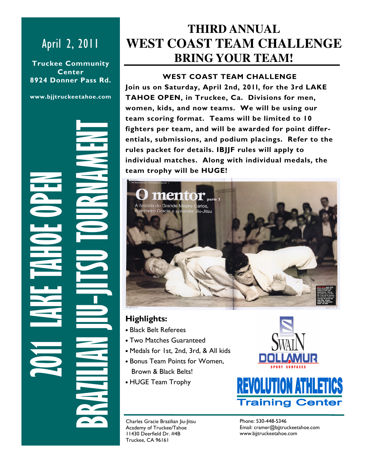# April 2, 2011

Truckee Community Center 8924 Donner Pass Rd.

www.bjjtruckeetahoe.com

2011 LAKE TAHOE OPEN BRAZILIAN JIU-JITSU TOURNAMENT

# **THIRD ANNUAL WEST COAST TEAM CHALLENGE BRING YOUR TEAM!**

### WEST COAST TEAM CHALLENGE

Join us on Saturday, April 2nd, 201l, for the 3rd LAKE TAHOE OPEN, in Truckee, Ca. Divisions for men, women, kids, and now teams. We will be using our team scoring format. Teams will be limited to 10 fighters per team, and will be awarded for point differentials, submissions, and podium placings. Refer to the rules packet for details. IBJJF rules will apply to individual matches. Along with individual medals, the team trophy will be HUGE!



## Highlights:

- Black Belt Referees
- Two Matches Guaranteed
- Medals for 1st, 2nd, 3rd, & All kids
- Bonus Team Points for Women, Brown & Black Belts!
- HUGE Team Trophy



Charles Gracie Brazilian Jiu-Jitsu Academy of Truckee/Tahoe 11430 Deerfield Dr. #4B Truckee, CA 96161

Phone: 530-448-5346 Email: cramer@bjjtruckeetahoe.com www.bjjtruckeetahoe.com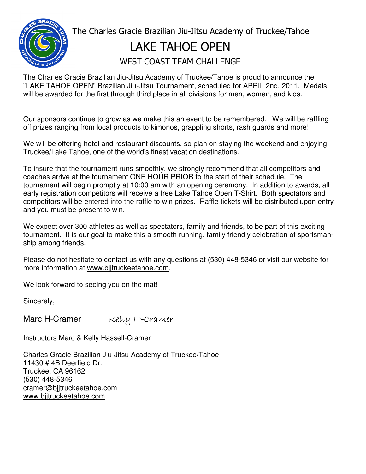

 The Charles Gracie Brazilian Jiu-Jitsu Academy of Truckee/Tahoe LAKE TAHOE OPEN WEST COAST TEAM CHALLENGE

The Charles Gracie Brazilian Jiu-Jitsu Academy of Truckee/Tahoe is proud to announce the "LAKE TAHOE OPEN" Brazilian Jiu-Jitsu Tournament, scheduled for APRIL 2nd, 2011. Medals will be awarded for the first through third place in all divisions for men, women, and kids.

Our sponsors continue to grow as we make this an event to be remembered. We will be raffling off prizes ranging from local products to kimonos, grappling shorts, rash guards and more!

We will be offering hotel and restaurant discounts, so plan on staying the weekend and enjoying Truckee/Lake Tahoe, one of the world's finest vacation destinations.

To insure that the tournament runs smoothly, we strongly recommend that all competitors and coaches arrive at the tournament ONE HOUR PRIOR to the start of their schedule. The tournament will begin promptly at 10:00 am with an opening ceremony. In addition to awards, all early registration competitors will receive a free Lake Tahoe Open T-Shirt. Both spectators and competitors will be entered into the raffle to win prizes. Raffle tickets will be distributed upon entry and you must be present to win.

We expect over 300 athletes as well as spectators, family and friends, to be part of this exciting tournament. It is our goal to make this a smooth running, family friendly celebration of sportsmanship among friends.

Please do not hesitate to contact us with any questions at (530) 448-5346 or visit our website for more information at www.bjjtruckeetahoe.com.

We look forward to seeing you on the mat!

Sincerely,

Marc H-Cramer Kelly H-Cramer

Instructors Marc & Kelly Hassell-Cramer

Charles Gracie Brazilian Jiu-Jitsu Academy of Truckee/Tahoe 11430 # 4B Deerfield Dr. Truckee, CA 96162 (530) 448-5346 cramer@bjjtruckeetahoe.com www.bjjtruckeetahoe.com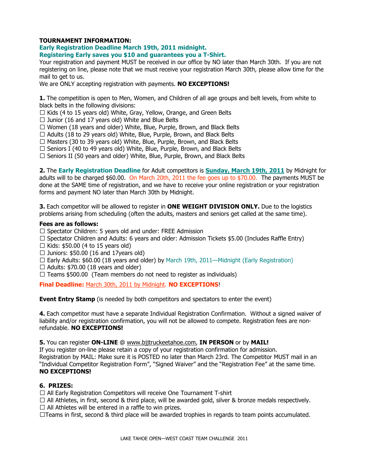#### TOURNAMENT INFORMATION:

#### Early Registration Deadline March 19th, 2011 midnight. Registering Early saves you \$10 and guarantees you a T-Shirt.

Your registration and payment MUST be received in our office by NO later than March 30th. If you are not registering on line, please note that we must receive your registration March 30th, please allow time for the mail to get to us.

We are ONLY accepting registration with payments. NO EXCEPTIONS!

1. The competition is open to Men, Women, and Children of all age groups and belt levels, from white to black belts in the following divisions:

- 3 Kids (4 to 15 years old) White, Gray, Yellow, Orange, and Green Belts
- 3 Junior (16 and 17 years old) White and Blue Belts
- 3 Women (18 years and older) White, Blue, Purple, Brown, and Black Belts
- 3 Adults (18 to 29 years old) White, Blue, Purple, Brown, and Black Belts
- 3 Masters (30 to 39 years old) White, Blue, Purple, Brown, and Black Belts
- 3 Seniors I (40 to 49 years old) White, Blue, Purple, Brown, and Black Belts
- 3 Seniors II (50 years and older) White, Blue, Purple, Brown, and Black Belts

2. The Early Registration Deadline for Adult competitors is **Sunday, March 19th, 2011** by Midnight for adults will to be charged \$60.00. On March 20th, 2011 the fee goes up to \$70.00. The payments MUST be done at the SAME time of registration, and we have to receive your online registration or your registration forms and payment NO later than March 30th by Midnight.

3. Each competitor will be allowed to register in ONE WEIGHT DIVISION ONLY. Due to the logistics problems arising from scheduling (often the adults, masters and seniors get called at the same time).

#### Fees are as follows:

- 3 Spectator Children: 5 years old and under: FREE Admission
- 3 Spectator Children and Adults: 6 years and older: Admission Tickets \$5.00 (Includes Raffle Entry)
- 3 Kids: \$50.00 (4 to 15 years old)
- 3 Juniors: \$50.00 (16 and 17years old)
- 3 Early Adults: \$60.00 (18 years and older) by March 19th, 2011—Midnight (Early Registration)
- 3 Adults: \$70.00 (18 years and older)
- 3 Teams \$500.00 (Team members do not need to register as individuals)

Final Deadline: March 30th, 2011 by Midnight. NO EXCEPTIONS!

Event Entry Stamp (is needed by both competitors and spectators to enter the event)

4. Each competitor must have a separate Individual Registration Confirmation. Without a signed waiver of liability and/or registration confirmation, you will not be allowed to compete. Registration fees are nonrefundable. NO EXCEPTIONS!

5. You can register ON-LINE @ www.bjjtruckeetahoe.com, IN PERSON or by MAIL!

If you register on-line please retain a copy of your registration confirmation for admission. Registration by MAIL: Make sure it is POSTED no later than March 23rd. The Competitor MUST mail in an "Individual Competitor Registration Form", "Signed Waiver" and the "Registration Fee" at the same time. NO EXCEPTIONS!

#### 6. PRIZES:

- 3 All Early Registration Competitors will receive One Tournament T-shirt
- 3 All Athletes, in first, second & third place, will be awarded gold, silver & bronze medals respectively.
- 3 All Athletes will be entered in a raffle to win prizes.
- 3Teams in first, second & third place will be awarded trophies in regards to team points accumulated.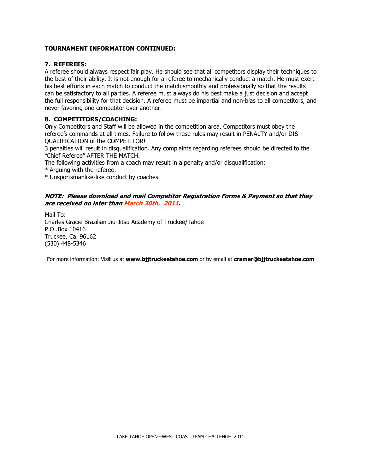#### TOURNAMENT INFORMATION CONTINUED:

#### 7. REFEREES:

A referee should always respect fair play. He should see that all competitors display their techniques to the best of their ability. It is not enough for a referee to mechanically conduct a match. He must exert his best efforts in each match to conduct the match smoothly and professionally so that the results can be satisfactory to all parties. A referee must always do his best make a just decision and accept the full responsibility for that decision. A referee must be impartial and non-bias to all competitors, and never favoring one competitor over another.

#### 8. COMPETITORS/COACHING:

Only Competitors and Staff will be allowed in the competition area. Competitors must obey the referee's commands at all times. Failure to follow these rules may result in PENALTY and/or DIS-QUALIFICATION of the COMPETITOR!

3 penalties will result in disqualification. Any complaints regarding referees should be directed to the "Chief Referee" AFTER THE MATCH.

The following activities from a coach may result in a penalty and/or disqualification:

\* Arguing with the referee.

\* Unsportsmanlike-like conduct by coaches.

#### NOTE: Please download and mail Competitor Registration Forms & Payment so that they are received no later than March 30th. 2011.

Mail To: Charles Gracie Brazilian Jiu-Jitsu Academy of Truckee/Tahoe P.O .Box 10416 Truckee, Ca. 96162 (530) 448-5346

For more information: Visit us at **www.bjjtruckeetahoe.com** or by email at **cramer@bjjtruckeetahoe.com**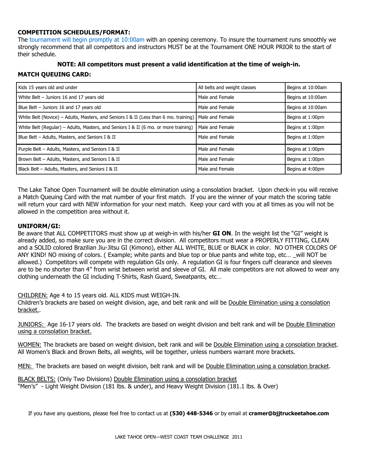#### COMPETITION SCHEDULES/FORMAT:

The tournament will begin promptly at 10:00am with an opening ceremony. To insure the tournament runs smoothly we strongly recommend that all competitors and instructors MUST be at the Tournament ONE HOUR PRIOR to the start of their schedule.

### NOTE: All competitors must present a valid identification at the time of weigh-in.

#### MATCH QUEUING CARD:

| Kids 15 years old and under                                                                            | All belts and weight classes | Begins at 10:00am |
|--------------------------------------------------------------------------------------------------------|------------------------------|-------------------|
| White Belt - Juniors 16 and 17 years old                                                               | Male and Female              | Begins at 10:00am |
| Blue Belt - Juniors 16 and 17 years old                                                                | Male and Female              | Begins at 10:00am |
| White Belt (Novice) – Adults, Masters, and Seniors I & II (Less than 6 mo. training)   Male and Female |                              | Begins at 1:00pm  |
| White Belt (Regular) – Adults, Masters, and Seniors I & II (6 mo. or more training)                    | Male and Female              | Begins at 1:00pm  |
| Blue Belt - Adults, Masters, and Seniors I & II                                                        | Male and Female              | Begins at 1:00pm  |
| Purple Belt - Adults, Masters, and Seniors I & II                                                      | Male and Female              | Begins at 1:00pm  |
| Brown Belt - Adults, Masters, and Seniors I & II                                                       | Male and Female              | Begins at 1:00pm  |
| Black Belt - Adults, Masters, and Seniors I & II                                                       | Male and Female              | Begins at 4:00pm  |

The Lake Tahoe Open Tournament will be double elimination using a consolation bracket. Upon check-in you will receive a Match Queuing Card with the mat number of your first match. If you are the winner of your match the scoring table will return your card with NEW information for your next match. Keep your card with you at all times as you will not be allowed in the competition area without it.

#### UNIFORM/GI:

Be aware that ALL COMPETITORS must show up at weigh-in with his/her GI ON. In the weight list the "GI" weight is already added, so make sure you are in the correct division. All competitors must wear a PROPERLY FITTING, CLEAN and a SOLID colored Brazilian Jiu-Jitsu GI (Kimono), either ALL WHITE, BLUE or BLACK in color. NO OTHER COLORS OF ANY KIND! NO mixing of colors. (Example; white pants and blue top or blue pants and white top, etc... will NOT be allowed.) Competitors will compete with regulation GIs only. A regulation GI is four fingers cuff clearance and sleeves are to be no shorter than 4" from wrist between wrist and sleeve of GI. All male competitors are not allowed to wear any clothing underneath the GI including T-Shirts, Rash Guard, Sweatpants, etc…

CHILDREN: Age 4 to 15 years old. ALL KIDS must WEIGH-IN.

Children's brackets are based on weight division, age, and belt rank and will be Double Elimination using a consolation bracket..

JUNIORS: Age 16-17 years old. The brackets are based on weight division and belt rank and will be Double Elimination using a consolation bracket.

WOMEN: The brackets are based on weight division, belt rank and will be Double Elimination using a consolation bracket. All Women's Black and Brown Belts, all weights, will be together, unless numbers warrant more brackets.

MEN: The brackets are based on weight division, belt rank and will be Double Elimination using a consolation bracket.

BLACK BELTS: (Only Two Divisions) Double Elimination using a consolation bracket "Men's" - Light Weight Division (181 lbs. & under), and Heavy Weight Division (181.1 lbs. & Over)

If you have any questions, please feel free to contact us at (530) 448-5346 or by email at cramer@bjjtruckeetahoe.com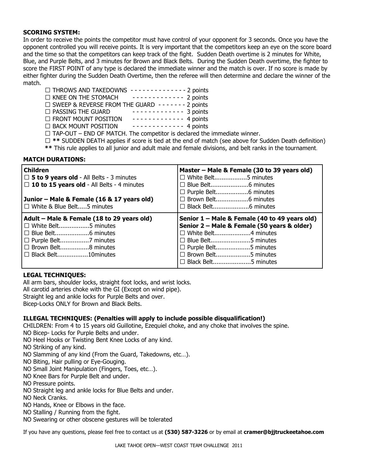#### SCORING SYSTEM:

In order to receive the points the competitor must have control of your opponent for 3 seconds. Once you have the opponent controlled you will receive points. It is very important that the competitors keep an eye on the score board and the time so that the competitors can keep track of the fight. Sudden Death overtime is 2 minutes for White, Blue, and Purple Belts, and 3 minutes for Brown and Black Belts. During the Sudden Death overtime, the fighter to score the FIRST POINT of any type is declared the immediate winner and the match is over. If no score is made by either fighter during the Sudden Death Overtime, then the referee will then determine and declare the winner of the match.

- 3 THROWS AND TAKEDOWNS - - - - - - - 2 points
- 3 KNEE ON THE STOMACH - - - - - - 2 points
- 3 SWEEP & REVERSE FROM THE GUARD - - - 2 points
- 3 PASSING THE GUARD - - - - - - 3 points 3 FRONT MOUNT POSITION - - - - - - - - - - - - - 4 points
- 3 BACK MOUNT POSITION - - - - - - 4 points
- 
- 3 TAP-OUT END OF MATCH. The competitor is declared the immediate winner.
- 3 \*\* SUDDEN DEATH applies if score is tied at the end of match (see above for Sudden Death definition)
- \*\* This rule applies to all junior and adult male and female divisions, and belt ranks in the tournament.

#### MATCH DURATIONS:

| Children<br>3 <b>5 to 9 years old</b> - All Belts - 3 minutes<br>3 10 to 15 years old - All Belts - 4 minutes<br>Junior – Male & Female (16 & 17 years old)<br>3 White & Blue Belt5 minutes | Master – Male & Female (30 to 39 years old)<br>3 White Belt5 minutes<br>3 Brown Belt6 minutes                                                                                                                             |
|---------------------------------------------------------------------------------------------------------------------------------------------------------------------------------------------|---------------------------------------------------------------------------------------------------------------------------------------------------------------------------------------------------------------------------|
| Adult - Male & Female (18 to 29 years old)<br>3 White Belt5 minutes<br>3 Brown Belt8 minutes<br>3 Black Belt10minutes                                                                       | Senior 1 – Male & Female (40 to 49 years old)<br>Senior 2 – Male & Female (50 years & older)<br>3 White Belt4 minutes<br>3 Blue Belt5 minutes<br>3 Purple Belt5 minutes<br>3 Brown Belt5 minutes<br>3 Black Belt5 minutes |

#### LEGAL TECHNIQUES:

All arm bars, shoulder locks, straight foot locks, and wrist locks.

All carotid arteries choke with the GI (Except on wind pipe).

Straight leg and ankle locks for Purple Belts and over.

Bicep-Locks ONLY for Brown and Black Belts.

#### ILLEGAL TECHNIQUES: (Penalties will apply to include possible disqualification!)

CHILDREN: From 4 to 15 years old Guillotine, Ezequiel choke, and any choke that involves the spine.

NO Bicep- Locks for Purple Belts and under.

NO Heel Hooks or Twisting Bent Knee Locks of any kind.

NO Striking of any kind.

- NO Slamming of any kind (From the Guard, Takedowns, etc…).
- NO Biting, Hair pulling or Eye-Gouging.
- NO Small Joint Manipulation (Fingers, Toes, etc…).
- NO Knee Bars for Purple Belt and under.
- NO Pressure points.
- NO Straight leg and ankle locks for Blue Belts and under.
- NO Neck Cranks.
- NO Hands, Knee or Elbows in the face.
- NO Stalling / Running from the fight.
- NO Swearing or other obscene gestures will be tolerated

If you have any questions, please feel free to contact us at (530) 587-3226 or by email at cramer@bjjtruckeetahoe.com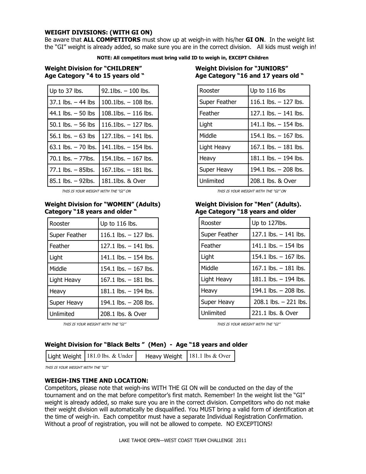#### WEIGHT DIVISIONS: (WITH GI ON)

Be aware that ALL COMPETITORS must show up at weigh-in with his/her GI ON. In the weight list the "GI" weight is already added, so make sure you are in the correct division. All kids must weigh in!

NOTE: All competitors must bring valid ID to weigh in, EXCEPT Children

Weight Division for "CHILDREN" Weight Division for "JUNIORS"

| Up to 37 lbs.          | 92.1lbs. - 100 lbs.      |
|------------------------|--------------------------|
| $37.1$ lbs. $-44$ lbs  | $100.1$ lbs. $-108$ lbs. |
| 44.1 lbs. $-50$ lbs    | 108.1lbs. - 116 lbs.     |
| 50.1 lbs. $-$ 56 lbs   | $116.1$ lbs. $-127$ lbs. |
| 56.1 lbs. $-63$ lbs    | $127.1$ lbs. $-141$ lbs. |
| $63.1$ lbs. $-70$ lbs. | $141.1$ lbs. $-154$ lbs. |
| $70.1$ lbs. $-77$ lbs. | $154.1$ lbs. $-167$ lbs. |
| $77.1$ lbs. $-$ 85lbs. | $167.1$ lbs. $-181$ lbs. |
| 85.1 lbs. - 92lbs.     | 181.1lbs. & Over         |

THIS IS YOUR WEIGHT WITH THE "GI" ON THIS IS YOUR WEIGHT WITH THE "GI" ON

# Weight Division for "WOMEN" (Adults) Weight Division for "Men" (Adults).<br>Category "18 years and older "All Age Category "18 years and older

| Rooster       | Up to 116 lbs.          |
|---------------|-------------------------|
| Super Feather | 116.1 lbs. $-$ 127 lbs. |
| Feather       | 127.1 lbs. $-$ 141 lbs. |
| Light         | 141.1 lbs. $-$ 154 lbs. |
| Middle        | 154.1 lbs. $-$ 167 lbs. |
| Light Heavy   | 167.1 lbs. $-$ 181 lbs. |
| Heavy         | 181.1 lbs. $-$ 194 lbs. |
| Super Heavy   | 194.1 lbs. $-$ 208 lbs. |
| Unlimited     | 208.1 lbs. & Over       |

THIS IS YOUR WEIGHT WITH THE "GI" THIS IS YOUR WEIGHT WITH THE "GI"

# Age Category "4 to 15 years old " Age Category "16 and 17 years old "

| Rooster       | Up to 116 lbs           |
|---------------|-------------------------|
| Super Feather | 116.1 lbs. $-$ 127 lbs. |
| Feather       | 127.1 lbs. - 141 lbs.   |
| Light         | 141.1 lbs. $-$ 154 lbs. |
| Middle        | 154.1 lbs. $-$ 167 lbs. |
| Light Heavy   | 167.1 lbs. $-$ 181 lbs. |
| Heavy         | 181.1 lbs. - 194 lbs.   |
| Super Heavy   | 194.1 lbs. $-$ 208 lbs. |
| Unlimited     | 208.1 lbs. & Over       |

# Age Category "18 years and older

| Rooster       | Up to 127lbs.            |
|---------------|--------------------------|
| Super Feather | 127.1 lbs. $-$ 141 lbs.  |
| Feather       | 141.1 lbs. $-$ 154 lbs   |
| Light         | 154.1 lbs. $-$ 167 lbs.  |
| Middle        | 167.1 lbs. $-$ 181 lbs.  |
| Light Heavy   | 181.1 lbs. $-$ 194 lbs.  |
| Heavy         | 194.1 lbs. $-$ 208 lbs.  |
| Super Heavy   | $208.1$ lbs. $-221$ lbs. |
| Unlimited     | 221.1 lbs. & Over        |

### Weight Division for "Black Belts " (Men) - Age "18 years and older

THIS IS YOUR WEIGHT WITH THE "GI"

#### WEIGH-INS TIME AND LOCATION:

Competitors, please note that weigh-ins WITH THE GI ON will be conducted on the day of the tournament and on the mat before competitor's first match. Remember! In the weight list the "GI" weight is already added, so make sure you are in the correct division. Competitors who do not make their weight division will automatically be disqualified. You MUST bring a valid form of identification at the time of weigh-in. Each competitor must have a separate Individual Registration Confirmation. Without a proof of registration, you will not be allowed to compete. NO EXCEPTIONS!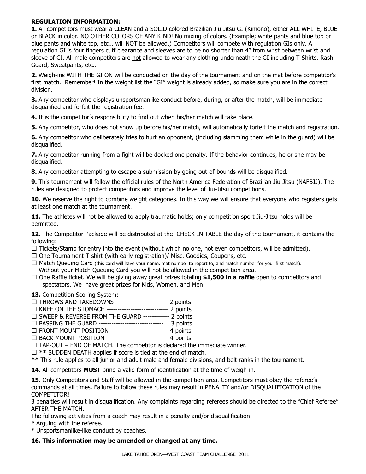#### REGULATION INFORMATION:

1. All competitors must wear a CLEAN and a SOLID colored Brazilian Jiu-Jitsu GI (Kimono), either ALL WHITE, BLUE or BLACK in color. NO OTHER COLORS OF ANY KIND! No mixing of colors. (Example; white pants and blue top or blue pants and white top, etc… will NOT be allowed.) Competitors will compete with regulation GIs only. A regulation GI is four fingers cuff clearance and sleeves are to be no shorter than 4" from wrist between wrist and sleeve of GI. All male competitors are not allowed to wear any clothing underneath the GI including T-Shirts, Rash Guard, Sweatpants, etc…

2. Weigh-ins WITH THE GI ON will be conducted on the day of the tournament and on the mat before competitor's first match. Remember! In the weight list the "GI" weight is already added, so make sure you are in the correct division.

3. Any competitor who displays unsportsmanlike conduct before, during, or after the match, will be immediate disqualified and forfeit the registration fee.

4. It is the competitor's responsibility to find out when his/her match will take place.

5. Any competitor, who does not show up before his/her match, will automatically forfeit the match and registration.

6. Any competitor who deliberately tries to hurt an opponent, (including slamming them while in the guard) will be disqualified.

7. Any competitor running from a fight will be docked one penalty. If the behavior continues, he or she may be disqualified.

8. Any competitor attempting to escape a submission by going out-of-bounds will be disqualified.

9. This tournament will follow the official rules of the North America Federation of Brazilian Jiu-Jitsu (NAFBJJ). The rules are designed to protect competitors and improve the level of Jiu-Jitsu competitions.

10. We reserve the right to combine weight categories. In this way we will ensure that everyone who registers gets at least one match at the tournament.

11. The athletes will not be allowed to apply traumatic holds; only competition sport Jiu-Jitsu holds will be permitted.

12. The Competitor Package will be distributed at the CHECK-IN TABLE the day of the tournament, it contains the following:

- 3 Tickets/Stamp for entry into the event (without which no one, not even competitors, will be admitted).
- 3 One Tournament T-shirt (with early registration)/ Misc. Goodies, Coupons, etc.
- 3 Match Queuing Card (this card will have your name, mat number to report to, and match number for your first match). Without your Match Queuing Card you will not be allowed in the competition area.
- 3 One Raffle ticket. We will be giving away great prizes totaling \$1,500 in a raffle open to competitors and spectators. We have great prizes for Kids, Women, and Men!

13. Competition Scoring System:

- 3 THROWS AND TAKEDOWNS --------------------— 2 points
- 3 KNEE ON THE STOMACH --------------------------— 2 points
- 3 SWEEP & REVERSE FROM THE GUARD ------——- 2 points
- 3 PASSING THE GUARD ------------------------------ 3 points
- 3 FRONT MOUNT POSITION -------------------------—4 points
- 3 BACK MOUNT POSITION ---------------------------—4 points
- 3 TAP-OUT END OF MATCH. The competitor is declared the immediate winner.
- 3 \*\* SUDDEN DEATH applies if score is tied at the end of match.
- \*\* This rule applies to all junior and adult male and female divisions, and belt ranks in the tournament.

14. All competitors MUST bring a valid form of identification at the time of weigh-in.

15. Only Competitors and Staff will be allowed in the competition area. Competitors must obey the referee's commands at all times. Failure to follow these rules may result in PENALTY and/or DISQUALIFICATION of the COMPETITOR!

3 penalties will result in disqualification. Any complaints regarding referees should be directed to the "Chief Referee" AFTER THE MATCH.

The following activities from a coach may result in a penalty and/or disqualification:

- \* Arguing with the referee.
- \* Unsportsmanlike-like conduct by coaches.

#### 16. This information may be amended or changed at any time.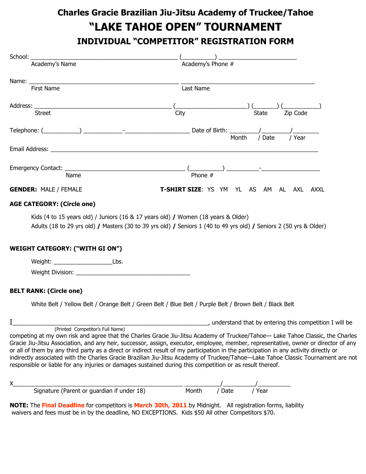# Charles Gracie Brazilian Jiu-Jitsu Academy of Truckee/Tahoe "LAKE TAHOE OPEN" TOURNAMENT INDIVIDUAL "COMPETITOR" REGISTRATION FORM

| Academy's Name                                                                                            | $\frac{1}{\text{Academy's Phone}}$                                                                                                                                                                                                                                        |
|-----------------------------------------------------------------------------------------------------------|---------------------------------------------------------------------------------------------------------------------------------------------------------------------------------------------------------------------------------------------------------------------------|
|                                                                                                           |                                                                                                                                                                                                                                                                           |
| First Name                                                                                                | Last Name                                                                                                                                                                                                                                                                 |
|                                                                                                           |                                                                                                                                                                                                                                                                           |
| <b>Street</b>                                                                                             | City<br><b>State</b><br>Zip Code                                                                                                                                                                                                                                          |
|                                                                                                           | / Date<br>/ Year<br>Month                                                                                                                                                                                                                                                 |
|                                                                                                           |                                                                                                                                                                                                                                                                           |
|                                                                                                           |                                                                                                                                                                                                                                                                           |
|                                                                                                           |                                                                                                                                                                                                                                                                           |
| <b>GENDER: MALE / FEMALE</b>                                                                              | T-SHIRT SIZE: YS YM YL AS AM AL AXL AXXL                                                                                                                                                                                                                                  |
| <b>AGE CATEGORY: (Circle one)</b>                                                                         |                                                                                                                                                                                                                                                                           |
| Kids (4 to 15 years old) / Juniors (16 & 17 years old) / Women (18 years & Older)                         |                                                                                                                                                                                                                                                                           |
|                                                                                                           | Adults (18 to 29 yrs old) / Masters (30 to 39 yrs old) / Seniors 1 (40 to 49 yrs old) / Seniors 2 (50 yrs & Older)                                                                                                                                                        |
| <b>WEIGHT CATEGORY: ("WITH GI ON")</b>                                                                    |                                                                                                                                                                                                                                                                           |
| Weight: Lbs.                                                                                              |                                                                                                                                                                                                                                                                           |
|                                                                                                           |                                                                                                                                                                                                                                                                           |
| <b>BELT RANK: (Circle one)</b>                                                                            |                                                                                                                                                                                                                                                                           |
| White Belt / Yellow Belt / Orange Belt / Green Belt / Blue Belt / Purple Belt / Brown Belt / Black Belt   |                                                                                                                                                                                                                                                                           |
|                                                                                                           | understand that by entering this competition I will be                                                                                                                                                                                                                    |
| (Printed Competitor's Full Name)                                                                          | competing at my own risk and agree that the Charles Gracie Jiu-Jitsu Academy of Truckee/Tahoe— Lake Tahoe Classic, the Charles                                                                                                                                            |
|                                                                                                           | Gracie Jiu-Jitsu Association, and any heir, successor, assign, executor, employee, member, representative, owner or director of any                                                                                                                                       |
|                                                                                                           | or all of them by any third party as a direct or indirect result of my participation in the participation in any activity directly or<br>indirectly associated with the Charles Gracie Brazilian Jiu-Jitsu Academy of Truckee/Tahoe-Lake Tahoe Classic Tournament are not |
| responsible or liable for any injuries or damages sustained during this competition or as result thereof. |                                                                                                                                                                                                                                                                           |
|                                                                                                           |                                                                                                                                                                                                                                                                           |
| Signature (Parent or guardian if under 18)                                                                | __/ _____<br>/ Year<br>/ Date<br>Month                                                                                                                                                                                                                                    |

NOTE: The Final Deadline for competitors is March 30th, 2011 by Midnight. All registration forms, liability waivers and fees must be in by the deadline, NO EXCEPTIONS. Kids \$50 All other Competitors \$70.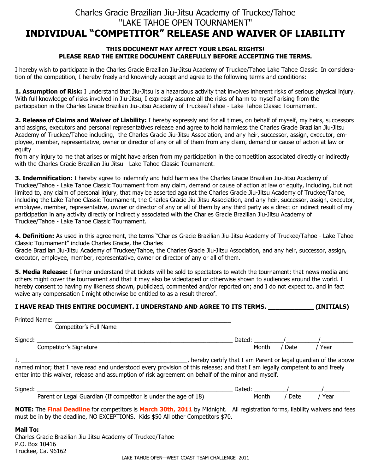## Charles Gracie Brazilian Jiu-Jitsu Academy of Truckee/Tahoe "LAKE TAHOE OPEN TOURNAMENT" INDIVIDUAL "COMPETITOR" RELEASE AND WAIVER OF LIABILITY

#### THIS DOCUMENT MAY AFFECT YOUR LEGAL RIGHTS! PLEASE READ THE ENTIRE DOCUMENT CAREFULLY BEFORE ACCEPTING THE TERMS.

I hereby wish to participate in the Charles Gracie Brazilian Jiu-Jitsu Academy of Truckee/Tahoe Lake Tahoe Classic. In consideration of the competition, I hereby freely and knowingly accept and agree to the following terms and conditions:

1. Assumption of Risk: I understand that Jiu-Jitsu is a hazardous activity that involves inherent risks of serious physical injury. With full knowledge of risks involved in Jiu-Jitsu, I expressly assume all the risks of harm to myself arising from the participation in the Charles Gracie Brazilian Jiu-Jitsu Academy of Truckee/Tahoe - Lake Tahoe Classic Tournament.

2. Release of Claims and Waiver of Liability: I hereby expressly and for all times, on behalf of myself, my heirs, successors and assigns, executors and personal representatives release and agree to hold harmless the Charles Gracie Brazilian Jiu-Jitsu Academy of Truckee/Tahoe including, the Charles Gracie Jiu-Jitsu Association, and any heir, successor, assign, executor, employee, member, representative, owner or director of any or all of them from any claim, demand or cause of action at law or equity

from any injury to me that arises or might have arisen from my participation in the competition associated directly or indirectly with the Charles Gracie Brazilian Jiu-Jitsu - Lake Tahoe Classic Tournament.

3. Indemnification: I hereby agree to indemnify and hold harmless the Charles Gracie Brazilian Jiu-Jitsu Academy of Truckee/Tahoe - Lake Tahoe Classic Tournament from any claim, demand or cause of action at law or equity, including, but not limited to, any claim of personal injury, that may be asserted against the Charles Gracie Jiu-Jitsu Academy of Truckee/Tahoe, including the Lake Tahoe Classic Tournament, the Charles Gracie Jiu-Jitsu Association, and any heir, successor, assign, executor, employee, member, representative, owner or director of any or all of them by any third party as a direct or indirect result of my participation in any activity directly or indirectly associated with the Charles Gracie Brazilian Jiu-Jitsu Academy of Truckee/Tahoe - Lake Tahoe Classic Tournament.

4. Definition: As used in this agreement, the terms "Charles Gracie Brazilian Jiu-Jitsu Academy of Truckee/Tahoe - Lake Tahoe Classic Tournament" include Charles Gracie, the Charles

Gracie Brazilian Jiu-Jitsu Academy of Truckee/Tahoe, the Charles Gracie Jiu-Jitsu Association, and any heir, successor, assign, executor, employee, member, representative, owner or director of any or all of them.

5. Media Release: I further understand that tickets will be sold to spectators to watch the tournament; that news media and others might cover the tournament and that it may also be videotaped or otherwise shown to audiences around the world. I hereby consent to having my likeness shown, publicized, commented and/or reported on; and I do not expect to, and in fact waive any compensation I might otherwise be entitled to as a result thereof.

| I HAVE READ THIS ENTIRE DOCUMENT. I UNDERSTAND AND AGREE TO ITS TERMS. | (INITIALS) |
|------------------------------------------------------------------------|------------|
|------------------------------------------------------------------------|------------|

|         | Printed Name:                                                                                                                                                                                                                      |                                                                |      |      |  |
|---------|------------------------------------------------------------------------------------------------------------------------------------------------------------------------------------------------------------------------------------|----------------------------------------------------------------|------|------|--|
|         | Competitor's Full Name                                                                                                                                                                                                             |                                                                |      |      |  |
| Signed: |                                                                                                                                                                                                                                    | Dated: /                                                       |      |      |  |
|         | Competitor's Signature                                                                                                                                                                                                             | Month                                                          | Date | Year |  |
|         | named minor; that I have read and understood every provision of this release; and that I am legally competent to and freely<br>enter into this waiver, release and assumption of risk agreement on behalf of the minor and myself. | hereby certify that I am Parent or legal guardian of the above |      |      |  |
| Signed: |                                                                                                                                                                                                                                    | Dated:                                                         |      |      |  |

NOTE: The Final Deadline for competitors is March 30th, 2011 by Midnight. All registration forms, liability waivers and fees must be in by the deadline, NO EXCEPTIONS. Kids \$50 All other Competitors \$70.

Parent or Legal Guardian (If competitor is under the age of 18) Month / Date / Year

Mail To:

Charles Gracie Brazilian Jiu-Jitsu Academy of Truckee/Tahoe P.O. Box 10416 Truckee, Ca. 96162